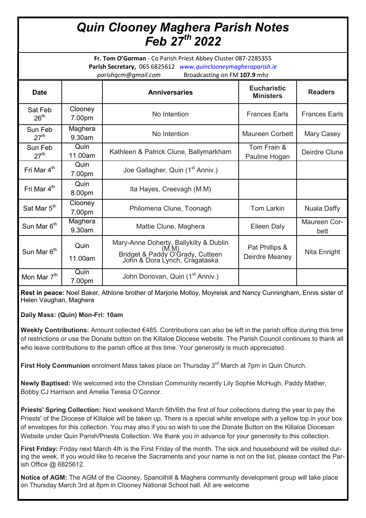## *Quin Clooney Maghera Parish Notes Feb 27th 2022*

**Fr. Tom O'Gorman** - Co Parish Priest Abbey Cluster 087-2285355 **Parish Secretary,** 065 6825612 *www.quinclooneymagheraparish.ie parishqcm@gmail.com* Broadcasting on FM **107.9** mhz

| <b>Date</b>                 |                   | <b>Anniversaries</b>                                                                                        | <b>Eucharistic</b><br><b>Ministers</b> | <b>Readers</b>       |
|-----------------------------|-------------------|-------------------------------------------------------------------------------------------------------------|----------------------------------------|----------------------|
| Sat Feb<br>26 <sup>th</sup> | Clooney<br>7.00pm | No Intention                                                                                                | <b>Frances Earls</b>                   | <b>Frances Earls</b> |
| Sun Feb<br>27 <sup>th</sup> | Maghera<br>9.30am | No Intention                                                                                                | Maureen Corbett                        | Mary Casey           |
| Sun Feb<br>27 <sup>th</sup> | Quin<br>11.00am   | Kathleen & Patrick Clune, Ballymarkham                                                                      | Tom Frain &<br>Pauline Hogan           | Deirdre Clune        |
| Fri Mar 4 <sup>th</sup>     | Quin<br>7.00pm    | Joe Gallagher, Quin (1 <sup>st</sup> Anniv.)                                                                |                                        |                      |
| Fri Mar 4 <sup>th</sup>     | Quin<br>8.00pm    | Ita Hayes, Creevagh (M.M)                                                                                   |                                        |                      |
| Sat Mar 5 <sup>th</sup>     | Clooney<br>7.00pm | Philomena Clune, Toonagh                                                                                    | Tom Larkin                             | Nuala Daffy          |
| Sun Mar 6 <sup>th</sup>     | Maghera<br>9.30am | Mattie Clune, Maghera                                                                                       | Eileen Daly                            | Maureen Cor-<br>bett |
| Sun Mar 6 <sup>th</sup>     | Quin<br>11.00am   | Mary-Anne Doherty, Ballykilty & Dublin<br>Bridget & Paddy O'Grady, Cutteen<br>John & Dora Lynch, Cragataska | Pat Phillips &<br>Deirdre Meaney       | Nita Enright         |
| Mon Mar 7 <sup>th</sup>     | Quin<br>7.00pm    | John Donovan, Quin (1 <sup>st</sup> Anniv.)                                                                 |                                        |                      |

**Rest in peace:** Noel Baker, Athlone brother of Marjorie Molloy, Moyreisk and Nancy Cunningham, Ennis sister of Helen Vaughan, Maghera

**Daily Mass: (Quin) Mon-Fri: 10am**

**Weekly Contributions:** Amount collected €485. Contributions can also be left in the parish office during this time of restrictions or use the Donate button on the Killaloe Diocese website. The Parish Council continues to thank all who leave contributions to the parish office at this time. Your generosity is much appreciated.

**First Holy Communion** enrolment Mass takes place on Thursday 3<sup>rd</sup> March at 7pm in Quin Church.

**Newly Baptised:** We welcomed into the Christian Community recently Lily Sophie McHugh, Paddy Mather, Bobby CJ Harrison and Amelia Teresa O'Connor.

**Priests' Spring Collection:** Next weekend March 5th/6th the first of four collections during the year to pay the Priests' of the Diocese of Killaloe will be taken up. There is a special white envelope with a yellow top in your box of envelopes for this collection. You may also if you so wish to use the Donate Button on the Killaloe Diocesan Website under Quin Parish/Priests Collection. We thank you in advance for your generosity to this collection.

**First Friday:** Friday next March 4th is the First Friday of the month. The sick and housebound will be visited during the week. If you would like to receive the Sacraments and your name is not on the list, please contact the Parish Office @ 6825612.

**Notice of AGM:** The AGM of the Clooney, Spancilhill & Maghera community development group will take place on Thursday March 3rd at 8pm in Clooney National School hall. All are welcome